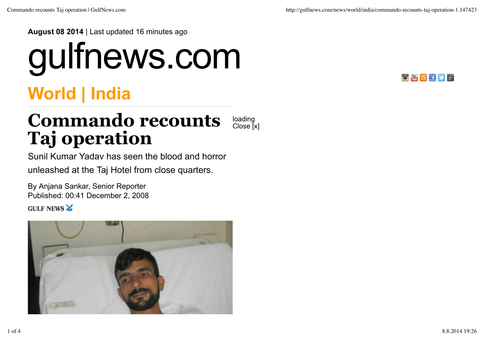**August 08 2014** | Last updated 16 minutes ago

## gulfnews.com



## **World | India**

## **Commando recounts Taj operation** loading Close [x]

Sunil Kumar Yadav has seen the blood and horror unleashed at the Taj Hotel from close quarters.

By Anjana Sankar, Senior Reporter Published: 00:41 December 2, 2008

**GULF NEWS &** 

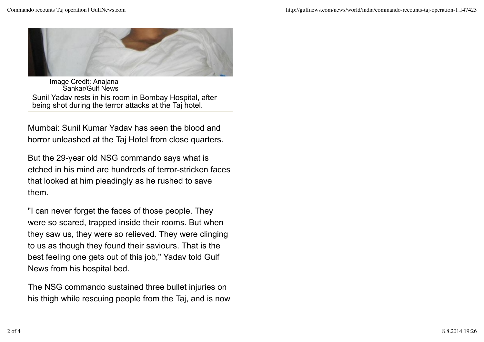

Image Credit: Anajana Sankar/Gulf News Sunil Yadav rests in his room in Bombay Hospital, after being shot during the terror attacks at the Taj hotel.

Mumbai: Sunil Kumar Yadav has seen the blood and horror unleashed at the Taj Hotel from close quarters.

But the 29-year old NSG commando says what is etched in his mind are hundreds of terror-stricken faces that looked at him pleadingly as he rushed to save them.

"I can never forget the faces of those people. They were so scared, trapped inside their rooms. But when they saw us, they were so relieved. They were clinging to us as though they found their saviours. That is the best feeling one gets out of this job," Yadav told Gulf News from his hospital bed.

The NSG commando sustained three bullet injuries on his thigh while rescuing people from the Taj, and is now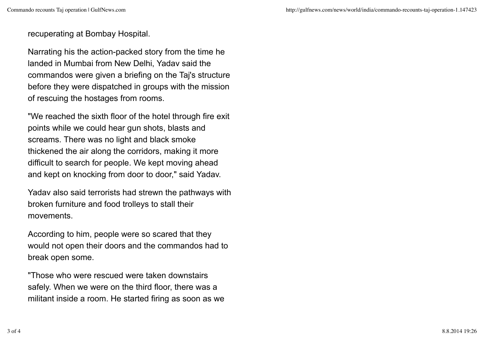recuperating at Bombay Hospital.

Narrating his the action-packed story from the time he landed in Mumbai from New Delhi, Yadav said the commandos were given a briefing on the Taj's structure before they were dispatched in groups with the mission of rescuing the hostages from rooms.

"We reached the sixth floor of the hotel through fire exit points while we could hear gun shots, blasts and screams. There was no light and black smoke thickened the air along the corridors, making it more difficult to search for people. We kept moving ahead and kept on knocking from door to door," said Yadav.

Yadav also said terrorists had strewn the pathways with broken furniture and food trolleys to stall their movements.

According to him, people were so scared that they would not open their doors and the commandos had to break open some.

"Those who were rescued were taken downstairs safely. When we were on the third floor, there was a militant inside a room. He started firing as soon as we